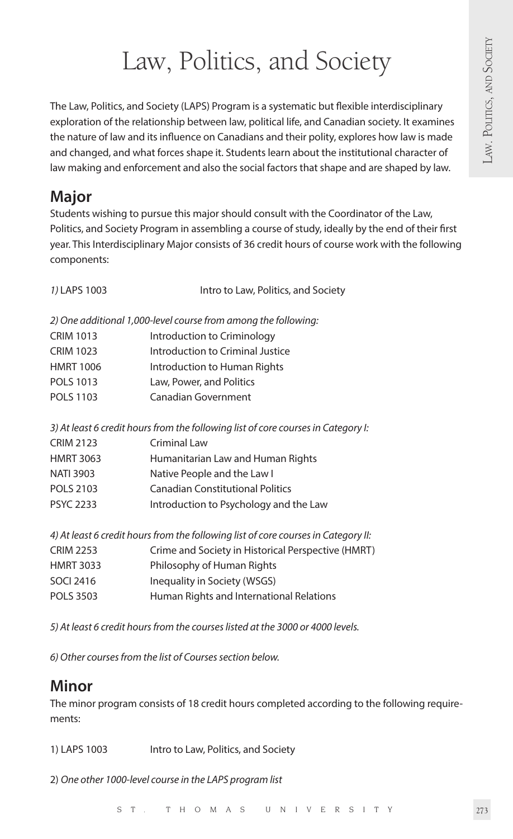# Law, Politics, and Society

The Law, Politics, and Society (LAPS) Program is a systematic but flexible interdisciplinary exploration of the relationship between law, political life, and Canadian society. It examines the nature of law and its influence on Canadians and their polity, explores how law is made and changed, and what forces shape it. Students learn about the institutional character of law making and enforcement and also the social factors that shape and are shaped by law.

# **Major**

Students wishing to pursue this major should consult with the Coordinator of the Law, Politics, and Society Program in assembling a course of study, ideally by the end of their first year. This Interdisciplinary Major consists of 36 credit hours of course work with the following components:

| 1) LAPS 1003     | Intro to Law, Politics, and Society                                                |
|------------------|------------------------------------------------------------------------------------|
|                  | 2) One additional 1,000-level course from among the following:                     |
| <b>CRIM 1013</b> | Introduction to Criminology                                                        |
| <b>CRIM 1023</b> | Introduction to Criminal Justice                                                   |
| <b>HMRT 1006</b> | Introduction to Human Rights                                                       |
| POLS 1013        | Law, Power, and Politics                                                           |
| POLS 1103        | Canadian Government                                                                |
|                  | 3) At least 6 credit hours from the following list of core courses in Category I:  |
| <b>CRIM 2123</b> | Criminal Law                                                                       |
| <b>HMRT 3063</b> | Humanitarian Law and Human Rights                                                  |
| <b>NATI 3903</b> | Native People and the Law I                                                        |
| POLS 2103        | <b>Canadian Constitutional Politics</b>                                            |
| <b>PSYC 2233</b> | Introduction to Psychology and the Law                                             |
|                  | 4) At least 6 credit hours from the following list of core courses in Category II: |
| <b>CRIM 2253</b> | Crime and Society in Historical Perspective (HMRT)                                 |
| <b>HMRT 3033</b> | Philosophy of Human Rights                                                         |
| SOCI 2416        | Inequality in Society (WSGS)                                                       |
| <b>POLS 3503</b> | Human Rights and International Relations                                           |
|                  |                                                                                    |

*5) At least 6 credit hours from the courses listed at the 3000 or 4000 levels.*

*6) Other courses from the list of Courses section below.* 

# **Minor**

The minor program consists of 18 credit hours completed according to the following requirements:

1) LAPS 1003 Intro to Law, Politics, and Society

2) *One other 1000-level course in the LAPS program list*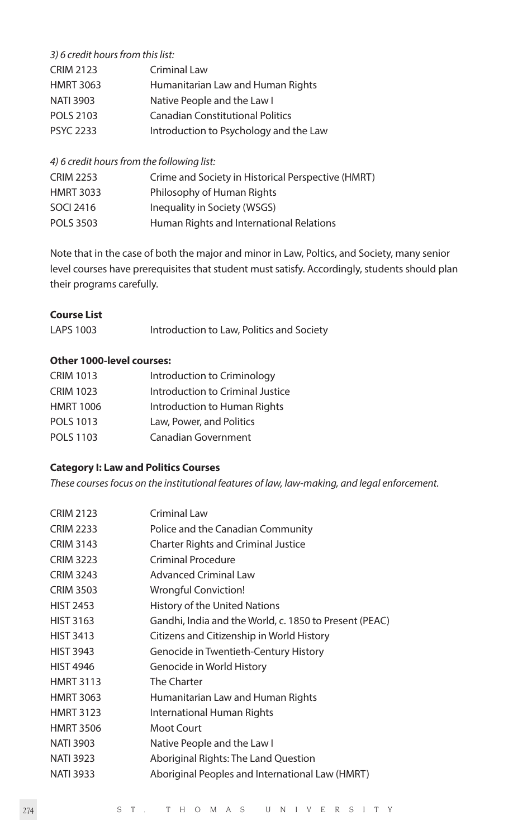## *3) 6 credit hours from this list:*

| <b>CRIM 2123</b> | Criminal Law                            |
|------------------|-----------------------------------------|
| <b>HMRT 3063</b> | Humanitarian Law and Human Rights       |
| <b>NATI 3903</b> | Native People and the Law I             |
| <b>POLS 2103</b> | <b>Canadian Constitutional Politics</b> |
| <b>PSYC 2233</b> | Introduction to Psychology and the Law  |

#### *4) 6 credit hours from the following list:*

| Crime and Society in Historical Perspective (HMRT) |
|----------------------------------------------------|
| Philosophy of Human Rights                         |
| Inequality in Society (WSGS)                       |
| Human Rights and International Relations           |
|                                                    |

Note that in the case of both the major and minor in Law, Poltics, and Society, many senior level courses have prerequisites that student must satisfy. Accordingly, students should plan their programs carefully.

#### **Course List**

| LAPS 1003 | Introduction to Law, Politics and Society |  |
|-----------|-------------------------------------------|--|
|           |                                           |  |

### **Other 1000-level courses:**

| <b>CRIM 1013</b> | Introduction to Criminology      |
|------------------|----------------------------------|
| <b>CRIM 1023</b> | Introduction to Criminal Justice |
| <b>HMRT 1006</b> | Introduction to Human Rights     |
| <b>POLS 1013</b> | Law, Power, and Politics         |
| POLS 1103        | Canadian Government              |

#### **Category I: Law and Politics Courses**

*These courses focus on the institutional features of law, law-making, and legal enforcement.*

| <b>CRIM 2123</b> | Criminal Law                                           |
|------------------|--------------------------------------------------------|
| <b>CRIM 2233</b> | Police and the Canadian Community                      |
| <b>CRIM 3143</b> | <b>Charter Rights and Criminal Justice</b>             |
| <b>CRIM 3223</b> | Criminal Procedure                                     |
| <b>CRIM 3243</b> | <b>Advanced Criminal Law</b>                           |
| <b>CRIM 3503</b> | Wrongful Conviction!                                   |
| <b>HIST 2453</b> | History of the United Nations                          |
| <b>HIST 3163</b> | Gandhi, India and the World, c. 1850 to Present (PEAC) |
| <b>HIST 3413</b> | Citizens and Citizenship in World History              |
| <b>HIST 3943</b> | Genocide in Twentieth-Century History                  |
| <b>HIST 4946</b> | Genocide in World History                              |
| <b>HMRT 3113</b> | The Charter                                            |
| <b>HMRT 3063</b> | Humanitarian Law and Human Rights                      |
| <b>HMRT 3123</b> | International Human Rights                             |
| <b>HMRT 3506</b> | Moot Court                                             |
| <b>NATI 3903</b> | Native People and the Law I                            |
| <b>NATI 3923</b> | Aboriginal Rights: The Land Question                   |
| <b>NATI 3933</b> | Aboriginal Peoples and International Law (HMRT)        |
|                  |                                                        |